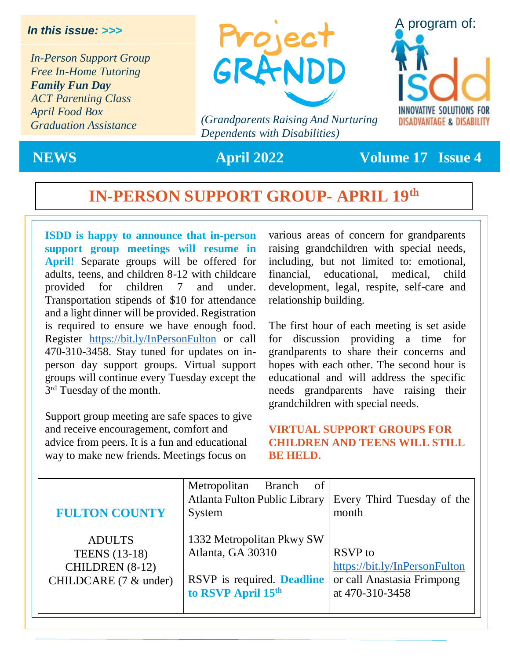#### *In this issue: >>>*

*In-Person Support Group Free In-Home Tutoring Family Fun Day ACT Parenting Class April Food Box Graduation Assistance*



*(Grandparents Raising And Nurturing Dependents with Disabilities)*



**NEWS April 2022 Volume 17 Issue 4**

# **IN-PERSON SUPPORT GROUP- APRIL 19th**

**ISDD is happy to announce that in-person support group meetings will resume in April!** Separate groups will be offered for adults, teens, and children 8-12 with childcare provided for children 7 and under. Transportation stipends of \$10 for attendance and a light dinner will be provided. Registration is required to ensure we have enough food. Register <https://bit.ly/InPersonFulton> or call 470-310-3458. Stay tuned for updates on inperson day support groups. Virtual support groups will continue every Tuesday except the 3<sup>rd</sup> Tuesday of the month.

Support group meeting are safe spaces to give and receive encouragement, comfort and advice from peers. It is a fun and educational way to make new friends. Meetings focus on

various areas of concern for grandparents raising grandchildren with special needs, including, but not limited to: emotional, financial, educational, medical, child development, legal, respite, self-care and relationship building.

The first hour of each meeting is set aside for discussion providing a time for grandparents to share their concerns and hopes with each other. The second hour is educational and will address the specific needs grandparents have raising their grandchildren with special needs.

#### **VIRTUAL SUPPORT GROUPS FOR CHILDREN AND TEENS WILL STILL BE HELD.**

| <b>FULTON COUNTY</b>     | of<br>Metropolitan<br><b>Branch</b><br>Atlanta Fulton Public Library<br>System | Every Third Tuesday of the<br>month |
|--------------------------|--------------------------------------------------------------------------------|-------------------------------------|
| <b>ADULTS</b>            | 1332 Metropolitan Pkwy SW                                                      | RSVP to                             |
| <b>TEENS</b> (13-18)     | Atlanta, GA 30310                                                              | https://bit.ly/InPersonFulton       |
| CHILDREN (8-12)          | RSVP is required. Deadline                                                     | or call Anastasia Frimpong          |
| CHILDCARE $(7 \&$ under) | to RSVP April 15th                                                             | at 470-310-3458                     |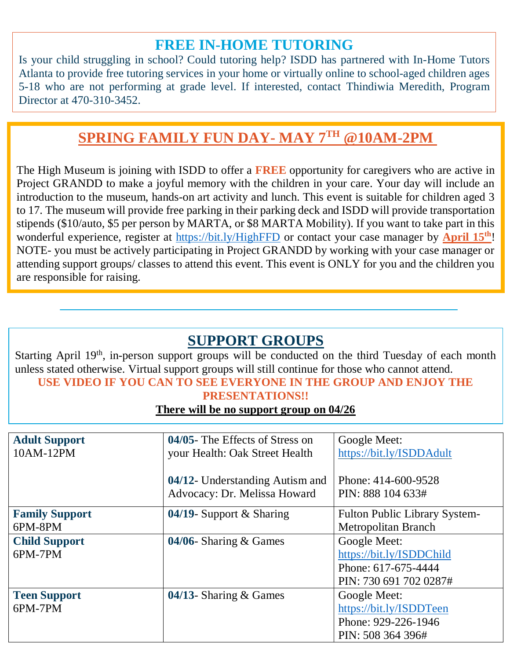## **FREE IN-HOME TUTORING**

Is your child struggling in school? Could tutoring help? ISDD has partnered with In-Home Tutors Atlanta to provide free tutoring services in your home or virtually online to school-aged children ages 5-18 who are not performing at grade level. If interested, contact Thindiwia Meredith, Program Director at 470-310-3452.

# **SPRING FAMILY FUN DAY- MAY 7TH @10AM-2PM**

The High Museum is joining with ISDD to offer a **FREE** opportunity for caregivers who are active in Project GRANDD to make a joyful memory with the children in your care. Your day will include an introduction to the museum, hands-on art activity and lunch. This event is suitable for children aged 3 to 17. The museum will provide free parking in their parking deck and ISDD will provide transportation stipends (\$10/auto, \$5 per person by MARTA, or \$8 MARTA Mobility). If you want to take part in this wonderful experience, register at<https://bit.ly/HighFFD> or contact your case manager by **April 15th**! NOTE- you must be actively participating in Project GRANDD by working with your case manager or attending support groups/ classes to attend this event. This event is ONLY for you and the children you are responsible for raising.

## **SUPPORT GROUPS**

Starting April 19<sup>th</sup>, in-person support groups will be conducted on the third Tuesday of each month unless stated otherwise. Virtual support groups will still continue for those who cannot attend. **USE VIDEO IF YOU CAN TO SEE EVERYONE IN THE GROUP AND ENJOY THE** 

# **PRESENTATIONS!!**

**There will be no support group on 04/26**

| <b>Adult Support</b>  | 04/05- The Effects of Stress on | Google Meet:                         |
|-----------------------|---------------------------------|--------------------------------------|
| 10AM-12PM             | your Health: Oak Street Health  | https://bit.ly/ISDDAdult             |
|                       |                                 |                                      |
|                       | 04/12- Understanding Autism and | Phone: 414-600-9528                  |
|                       | Advocacy: Dr. Melissa Howard    | PIN: 888 104 633#                    |
|                       |                                 |                                      |
| <b>Family Support</b> | 04/19- Support $&$ Sharing      | <b>Fulton Public Library System-</b> |
| 6PM-8PM               |                                 | Metropolitan Branch                  |
| <b>Child Support</b>  | 04/06- Sharing $&$ Games        | Google Meet:                         |
| 6PM-7PM               |                                 | https://bit.ly/ISDDChild             |
|                       |                                 | Phone: 617-675-4444                  |
|                       |                                 | PIN: 730 691 702 0287#               |
| <b>Teen Support</b>   | 04/13- Sharing $&$ Games        | Google Meet:                         |
| 6PM-7PM               |                                 | https://bit.ly/ISDDTeen              |
|                       |                                 | Phone: 929-226-1946                  |
|                       |                                 | PIN: 508 364 396#                    |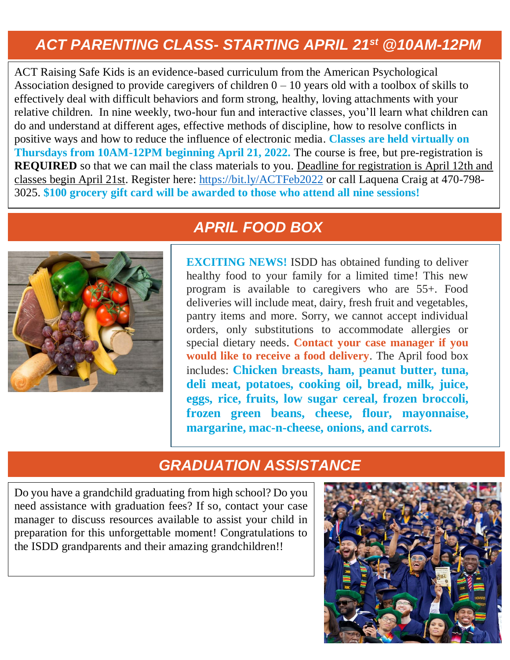# *ACT PARENTING CLASS- STARTING APRIL 21st @10AM-12PM*

ACT Raising Safe Kids is an evidence-based curriculum from the American Psychological Association designed to provide caregivers of children  $0 - 10$  years old with a toolbox of skills to effectively deal with difficult behaviors and form strong, healthy, loving attachments with your relative children. In nine weekly, two-hour fun and interactive classes, you'll learn what children can do and understand at different ages, effective methods of discipline, how to resolve conflicts in positive ways and how to reduce the influence of electronic media. **Classes are held virtually on Thursdays from 10AM-12PM beginning April 21, 2022.** The course is free, but pre-registration is **REQUIRED** so that we can mail the class materials to you. Deadline for registration is April 12th and classes begin April 21st. Register here:<https://bit.ly/ACTFeb2022> or call Laquena Craig at 470-798- 3025. **\$100 grocery gift card will be awarded to those who attend all nine sessions!**



## *APRIL FOOD BOX*

**EXCITING NEWS!** ISDD has obtained funding to deliver healthy food to your family for a limited time! This new program is available to caregivers who are 55+. Food deliveries will include meat, dairy, fresh fruit and vegetables, pantry items and more. Sorry, we cannot accept individual orders, only substitutions to accommodate allergies or special dietary needs. **Contact your case manager if you would like to receive a food delivery**. The April food box includes: **Chicken breasts, ham, peanut butter, tuna, deli meat, potatoes, cooking oil, bread, milk, juice, eggs, rice, fruits, low sugar cereal, frozen broccoli, frozen green beans, cheese, flour, mayonnaise, margarine, mac-n-cheese, onions, and carrots.**

### *GRADUATION ASSISTANCE*

Do you have a grandchild graduating from high school? Do you need assistance with graduation fees? If so, contact your case manager to discuss resources available to assist your child in preparation for this unforgettable moment! Congratulations to the ISDD grandparents and their amazing grandchildren!!